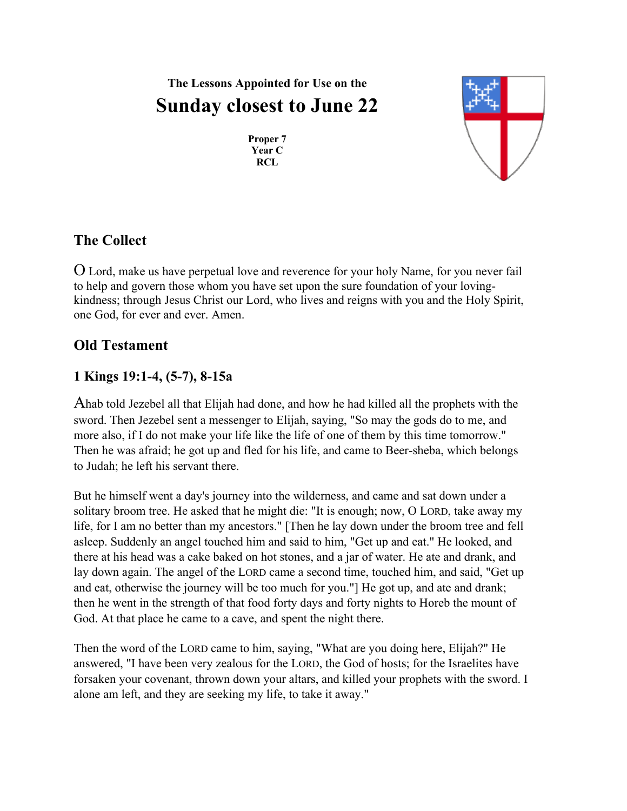# **The Lessons Appointed for Use on the Sunday closest to June 22**

**Proper 7 Year C RCL**



### **The Collect**

O Lord, make us have perpetual love and reverence for your holy Name, for you never fail to help and govern those whom you have set upon the sure foundation of your lovingkindness; through Jesus Christ our Lord, who lives and reigns with you and the Holy Spirit, one God, for ever and ever. Amen.

# **Old Testament**

### **1 Kings 19:1-4, (5-7), 8-15a**

Ahab told Jezebel all that Elijah had done, and how he had killed all the prophets with the sword. Then Jezebel sent a messenger to Elijah, saying, "So may the gods do to me, and more also, if I do not make your life like the life of one of them by this time tomorrow." Then he was afraid; he got up and fled for his life, and came to Beer-sheba, which belongs to Judah; he left his servant there.

But he himself went a day's journey into the wilderness, and came and sat down under a solitary broom tree. He asked that he might die: "It is enough; now, O LORD, take away my life, for I am no better than my ancestors." [Then he lay down under the broom tree and fell asleep. Suddenly an angel touched him and said to him, "Get up and eat." He looked, and there at his head was a cake baked on hot stones, and a jar of water. He ate and drank, and lay down again. The angel of the LORD came a second time, touched him, and said, "Get up and eat, otherwise the journey will be too much for you."] He got up, and ate and drank; then he went in the strength of that food forty days and forty nights to Horeb the mount of God. At that place he came to a cave, and spent the night there.

Then the word of the LORD came to him, saying, "What are you doing here, Elijah?" He answered, "I have been very zealous for the LORD, the God of hosts; for the Israelites have forsaken your covenant, thrown down your altars, and killed your prophets with the sword. I alone am left, and they are seeking my life, to take it away."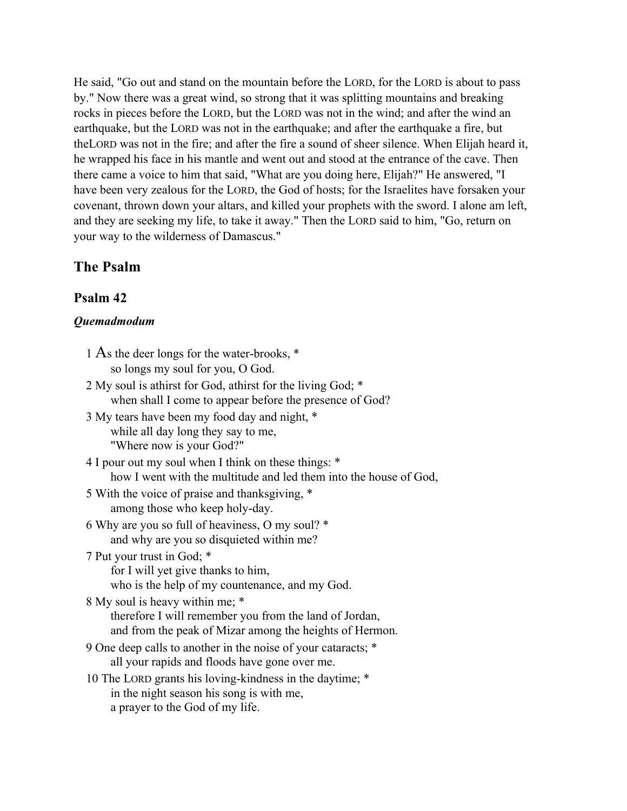He said, "Go out and stand on the mountain before the LORD, for the LORD is about to pass by." Now there was a great wind, so strong that it was splitting mountains and breaking rocks in pieces before the LORD, but the LORD was not in the wind; and after the wind an earthquake, but the LORD was not in the earthquake; and after the earthquake a fire, but theLORD was not in the fire; and after the fire a sound of sheer silence. When Elijah heard it, he wrapped his face in his mantle and went out and stood at the entrance of the cave. Then there came a voice to him that said, "What are you doing here, Elijah?" He answered, "I have been very zealous for the LORD, the God of hosts; for the Israelites have forsaken your covenant, thrown down your altars, and killed your prophets with the sword. I alone am left, and they are seeking my life, to take it away." Then the LORD said to him, "Go, return on your way to the wilderness of Damascus."

### **The Psalm**

#### **Psalm 42**

#### *Quemadmodum*

| 1 As the deer longs for the water-brooks, * |  |
|---------------------------------------------|--|
| so longs my soul for you, O God.            |  |

- 2 My soul is athirst for God, athirst for the living God; \* when shall I come to appear before the presence of God?
- 3 My tears have been my food day and night, \* while all day long they say to me, "Where now is your God?"
- 4 I pour out my soul when I think on these things: \* how I went with the multitude and led them into the house of God,
- 5 With the voice of praise and thanksgiving, \* among those who keep holy-day.
- 6 Why are you so full of heaviness, O my soul? \* and why are you so disquieted within me?
- 7 Put your trust in God; \* for I will yet give thanks to him,

who is the help of my countenance, and my God.

8 My soul is heavy within me; \*

therefore I will remember you from the land of Jordan, and from the peak of Mizar among the heights of Hermon.

- 9 One deep calls to another in the noise of your cataracts; \* all your rapids and floods have gone over me.
- 10 The LORD grants his loving-kindness in the daytime; \* in the night season his song is with me, a prayer to the God of my life.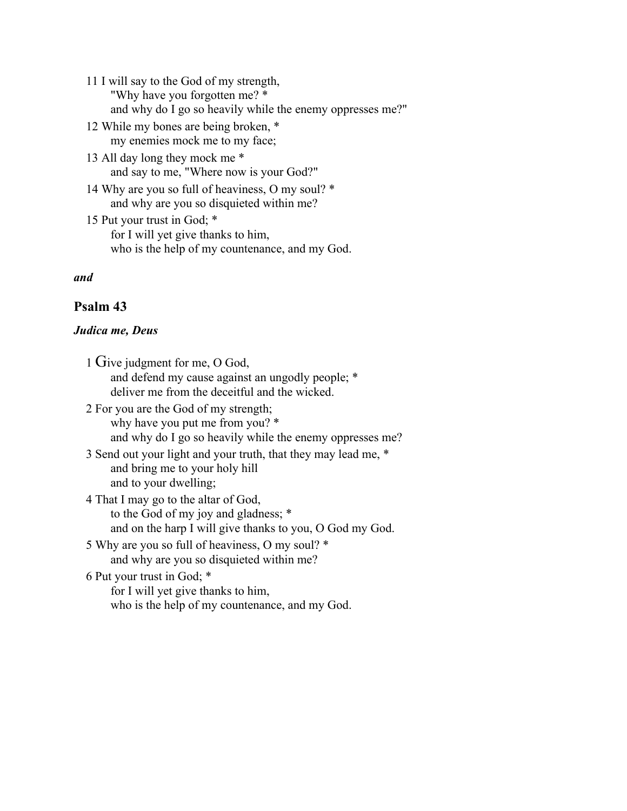- 11 I will say to the God of my strength, "Why have you forgotten me? \* and why do I go so heavily while the enemy oppresses me?"
- 12 While my bones are being broken, \* my enemies mock me to my face;
- 13 All day long they mock me \* and say to me, "Where now is your God?"
- 14 Why are you so full of heaviness, O my soul? \* and why are you so disquieted within me?
- 15 Put your trust in God; \* for I will yet give thanks to him, who is the help of my countenance, and my God.

#### *and*

#### **Psalm 43**

#### *Judica me, Deus*

1 Give judgment for me, O God, and defend my cause against an ungodly people; \* deliver me from the deceitful and the wicked. 2 For you are the God of my strength; why have you put me from you? \* and why do I go so heavily while the enemy oppresses me? 3 Send out your light and your truth, that they may lead me, \* and bring me to your holy hill and to your dwelling; 4 That I may go to the altar of God, to the God of my joy and gladness; \* and on the harp I will give thanks to you, O God my God. 5 Why are you so full of heaviness, O my soul? \* and why are you so disquieted within me?

#### 6 Put your trust in God; \*

for I will yet give thanks to him, who is the help of my countenance, and my God.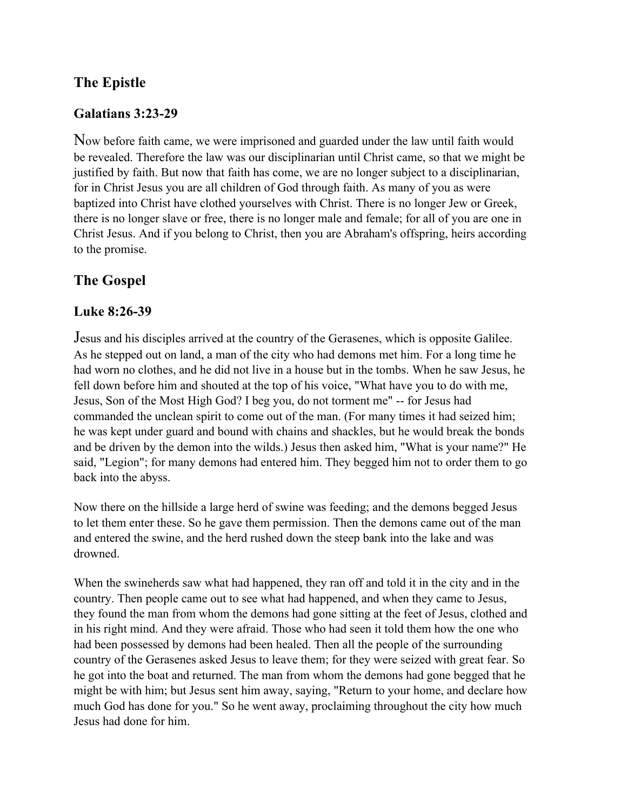# **The Epistle**

### **Galatians 3:23-29**

Now before faith came, we were imprisoned and guarded under the law until faith would be revealed. Therefore the law was our disciplinarian until Christ came, so that we might be justified by faith. But now that faith has come, we are no longer subject to a disciplinarian, for in Christ Jesus you are all children of God through faith. As many of you as were baptized into Christ have clothed yourselves with Christ. There is no longer Jew or Greek, there is no longer slave or free, there is no longer male and female; for all of you are one in Christ Jesus. And if you belong to Christ, then you are Abraham's offspring, heirs according to the promise.

# **The Gospel**

### **Luke 8:26-39**

Jesus and his disciples arrived at the country of the Gerasenes, which is opposite Galilee. As he stepped out on land, a man of the city who had demons met him. For a long time he had worn no clothes, and he did not live in a house but in the tombs. When he saw Jesus, he fell down before him and shouted at the top of his voice, "What have you to do with me, Jesus, Son of the Most High God? I beg you, do not torment me" -- for Jesus had commanded the unclean spirit to come out of the man. (For many times it had seized him; he was kept under guard and bound with chains and shackles, but he would break the bonds and be driven by the demon into the wilds.) Jesus then asked him, "What is your name?" He said, "Legion"; for many demons had entered him. They begged him not to order them to go back into the abyss.

Now there on the hillside a large herd of swine was feeding; and the demons begged Jesus to let them enter these. So he gave them permission. Then the demons came out of the man and entered the swine, and the herd rushed down the steep bank into the lake and was drowned.

When the swineherds saw what had happened, they ran off and told it in the city and in the country. Then people came out to see what had happened, and when they came to Jesus, they found the man from whom the demons had gone sitting at the feet of Jesus, clothed and in his right mind. And they were afraid. Those who had seen it told them how the one who had been possessed by demons had been healed. Then all the people of the surrounding country of the Gerasenes asked Jesus to leave them; for they were seized with great fear. So he got into the boat and returned. The man from whom the demons had gone begged that he might be with him; but Jesus sent him away, saying, "Return to your home, and declare how much God has done for you." So he went away, proclaiming throughout the city how much Jesus had done for him.